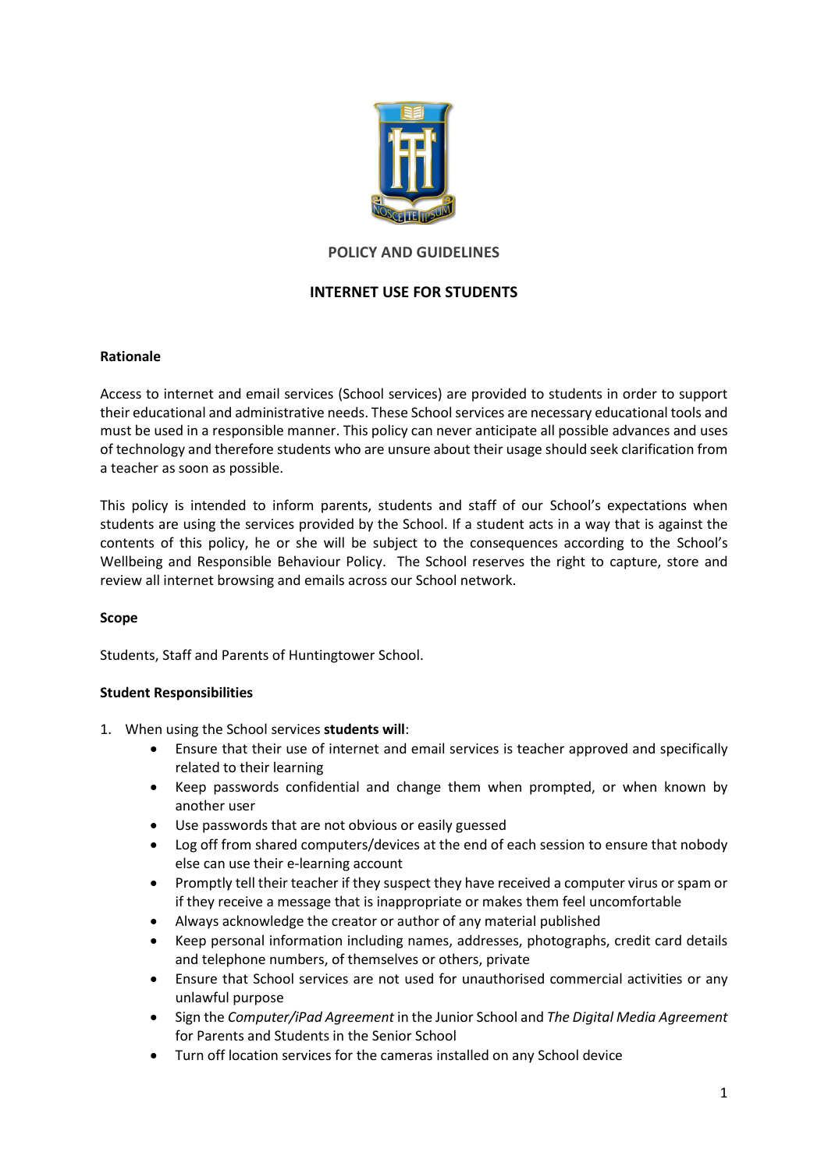

# **POLICY AND GUIDELINES**

# **INTERNET USE FOR STUDENTS**

## **Rationale**

Access to internet and email services (School services) are provided to students in order to support their educational and administrative needs. These Schoolservices are necessary educational tools and must be used in a responsible manner. This policy can never anticipate all possible advances and uses of technology and therefore students who are unsure about their usage should seek clarification from a teacher as soon as possible.

This policy is intended to inform parents, students and staff of our School's expectations when students are using the services provided by the School. If a student acts in a way that is against the contents of this policy, he or she will be subject to the consequences according to the School's Wellbeing and Responsible Behaviour Policy. The School reserves the right to capture, store and review all internet browsing and emails across our School network.

# **Scope**

Students, Staff and Parents of Huntingtower School.

### **Student Responsibilities**

- 1. When using the School services **students will**:
	- Ensure that their use of internet and email services is teacher approved and specifically related to their learning
	- Keep passwords confidential and change them when prompted, or when known by another user
	- Use passwords that are not obvious or easily guessed
	- Log off from shared computers/devices at the end of each session to ensure that nobody else can use their e-learning account
	- Promptly tell their teacher if they suspect they have received a computer virus or spam or if they receive a message that is inappropriate or makes them feel uncomfortable
	- Always acknowledge the creator or author of any material published
	- Keep personal information including names, addresses, photographs, credit card details and telephone numbers, of themselves or others, private
	- Ensure that School services are not used for unauthorised commercial activities or any unlawful purpose
	- Sign the *Computer/iPad Agreement* in the Junior School and *The Digital Media Agreement* for Parents and Students in the Senior School
	- Turn off location services for the cameras installed on any School device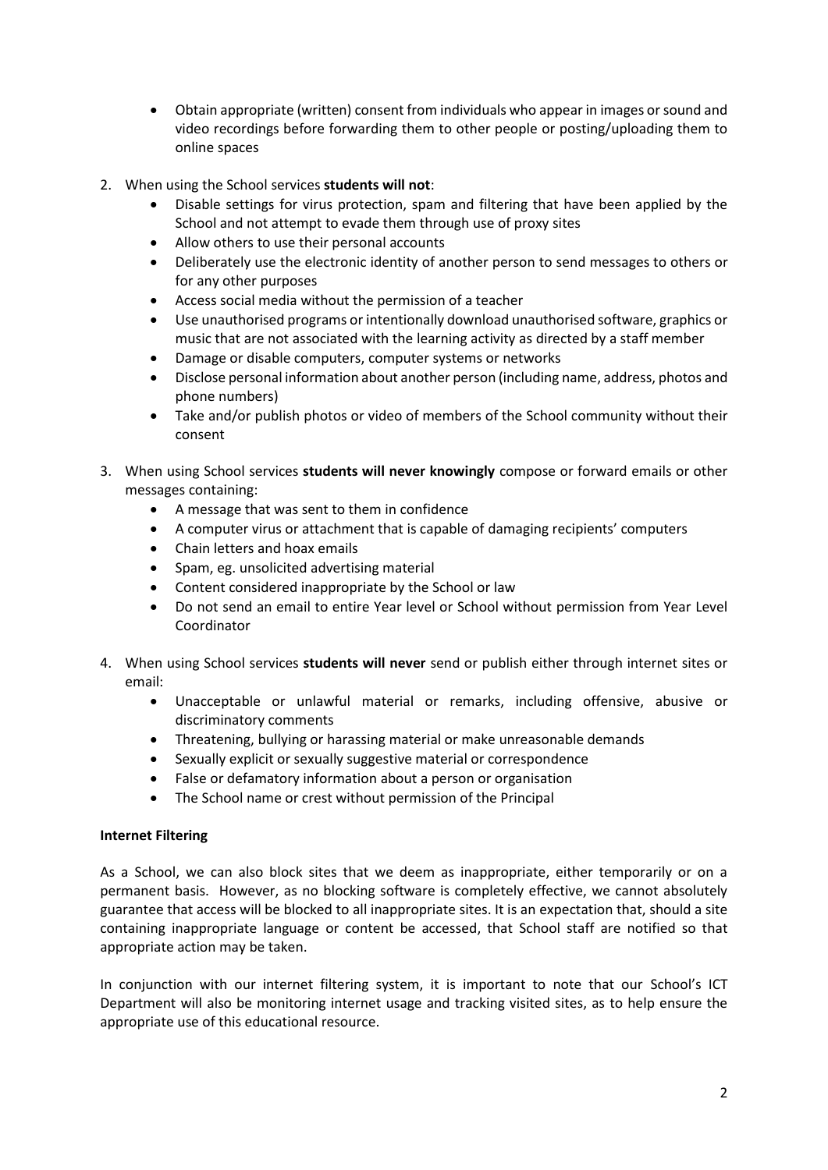- Obtain appropriate (written) consent from individuals who appear in images or sound and video recordings before forwarding them to other people or posting/uploading them to online spaces
- 2. When using the School services **students will not**:
	- Disable settings for virus protection, spam and filtering that have been applied by the School and not attempt to evade them through use of proxy sites
	- Allow others to use their personal accounts
	- Deliberately use the electronic identity of another person to send messages to others or for any other purposes
	- Access social media without the permission of a teacher
	- Use unauthorised programs or intentionally download unauthorised software, graphics or music that are not associated with the learning activity as directed by a staff member
	- Damage or disable computers, computer systems or networks
	- Disclose personal information about another person (including name, address, photos and phone numbers)
	- Take and/or publish photos or video of members of the School community without their consent
- 3. When using School services **students will never knowingly** compose or forward emails or other messages containing:
	- A message that was sent to them in confidence
	- A computer virus or attachment that is capable of damaging recipients' computers
	- Chain letters and hoax emails
	- Spam, eg. unsolicited advertising material
	- Content considered inappropriate by the School or law
	- Do not send an email to entire Year level or School without permission from Year Level Coordinator
- 4. When using School services **students will never** send or publish either through internet sites or email:
	- Unacceptable or unlawful material or remarks, including offensive, abusive or discriminatory comments
	- Threatening, bullying or harassing material or make unreasonable demands
	- Sexually explicit or sexually suggestive material or correspondence
	- False or defamatory information about a person or organisation
	- The School name or crest without permission of the Principal

### **Internet Filtering**

As a School, we can also block sites that we deem as inappropriate, either temporarily or on a permanent basis. However, as no blocking software is completely effective, we cannot absolutely guarantee that access will be blocked to all inappropriate sites. It is an expectation that, should a site containing inappropriate language or content be accessed, that School staff are notified so that appropriate action may be taken.

In conjunction with our internet filtering system, it is important to note that our School's ICT Department will also be monitoring internet usage and tracking visited sites, as to help ensure the appropriate use of this educational resource.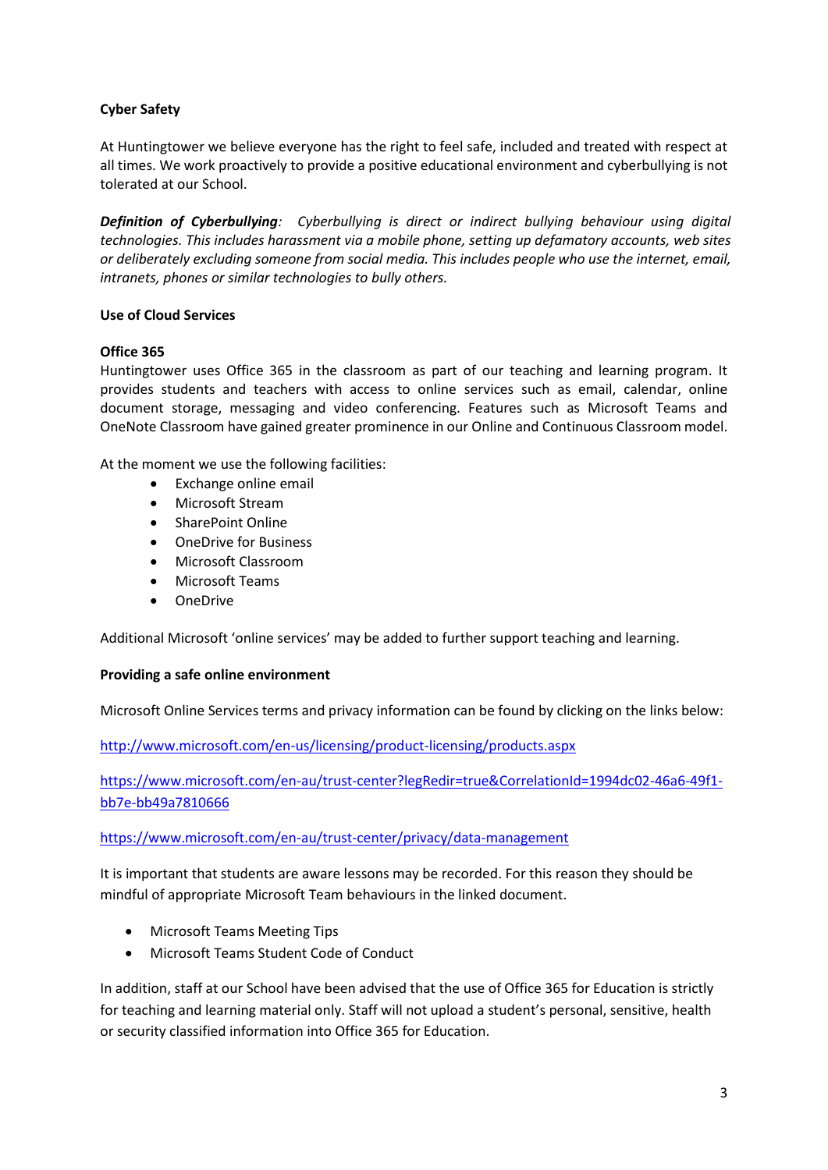# **Cyber Safety**

At Huntingtower we believe everyone has the right to feel safe, included and treated with respect at all times. We work proactively to provide a positive educational environment and cyberbullying is not tolerated at our School.

*Definition of Cyberbullying: Cyberbullying is direct or indirect bullying behaviour using digital technologies. This includes harassment via a mobile phone, setting up defamatory accounts, web sites or deliberately excluding someone from social media. This includes people who use the internet, email, intranets, phones or similar technologies to bully others.* 

## **Use of Cloud Services**

## **Office 365**

Huntingtower uses Office 365 in the classroom as part of our teaching and learning program. It provides students and teachers with access to online services such as email, calendar, online document storage, messaging and video conferencing. Features such as Microsoft Teams and OneNote Classroom have gained greater prominence in our Online and Continuous Classroom model.

At the moment we use the following facilities:

- Exchange online email
- Microsoft Stream
- SharePoint Online
- OneDrive for Business
- Microsoft Classroom
- Microsoft Teams
- OneDrive

Additional Microsoft 'online services' may be added to further support teaching and learning.

### **Providing a safe online environment**

Microsoft Online Services terms and privacy information can be found by clicking on the links below:

<http://www.microsoft.com/en-us/licensing/product-licensing/products.aspx>

[https://www.microsoft.com/en-au/trust-center?legRedir=true&CorrelationId=1994dc02-46a6-49f1](https://www.microsoft.com/en-au/trust-center?legRedir=true&CorrelationId=1994dc02-46a6-49f1-bb7e-bb49a7810666) [bb7e-bb49a7810666](https://www.microsoft.com/en-au/trust-center?legRedir=true&CorrelationId=1994dc02-46a6-49f1-bb7e-bb49a7810666)

<https://www.microsoft.com/en-au/trust-center/privacy/data-management>

It is important that students are aware lessons may be recorded. For this reason they should be mindful of appropriate Microsoft Team behaviours in the linked document.

- Microsoft Teams Meeting Tips
- Microsoft Teams Student Code of Conduct

In addition, staff at our School have been advised that the use of Office 365 for Education is strictly for teaching and learning material only. Staff will not upload a student's personal, sensitive, health or security classified information into Office 365 for Education.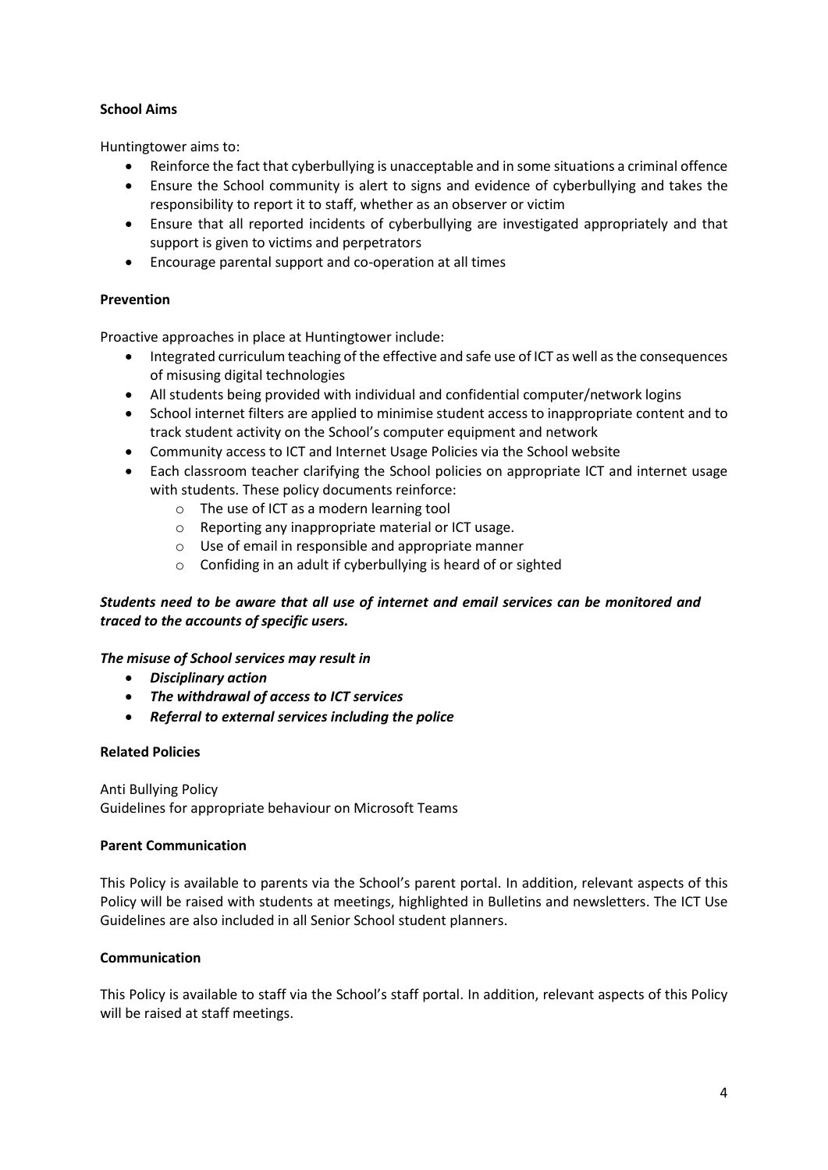## **School Aims**

Huntingtower aims to:

- Reinforce the fact that cyberbullying is unacceptable and in some situations a criminal offence
- Ensure the School community is alert to signs and evidence of cyberbullying and takes the responsibility to report it to staff, whether as an observer or victim
- Ensure that all reported incidents of cyberbullying are investigated appropriately and that support is given to victims and perpetrators
- Encourage parental support and co-operation at all times

## **Prevention**

Proactive approaches in place at Huntingtower include:

- Integrated curriculum teaching of the effective and safe use of ICT as well as the consequences of misusing digital technologies
- All students being provided with individual and confidential computer/network logins
- School internet filters are applied to minimise student access to inappropriate content and to track student activity on the School's computer equipment and network
- Community access to ICT and Internet Usage Policies via the School website
- Each classroom teacher clarifying the School policies on appropriate ICT and internet usage with students. These policy documents reinforce:
	- o The use of ICT as a modern learning tool
	- o Reporting any inappropriate material or ICT usage.
	- o Use of email in responsible and appropriate manner
	- o Confiding in an adult if cyberbullying is heard of or sighted

# *Students need to be aware that all use of internet and email services can be monitored and traced to the accounts of specific users.*

### *The misuse of School services may result in*

- *Disciplinary action*
- *The withdrawal of access to ICT services*
- *Referral to external services including the police*

### **Related Policies**

Anti Bullying Policy Guidelines for appropriate behaviour on Microsoft Teams

### **Parent Communication**

This Policy is available to parents via the School's parent portal. In addition, relevant aspects of this Policy will be raised with students at meetings, highlighted in Bulletins and newsletters. The ICT Use Guidelines are also included in all Senior School student planners.

### **Communication**

This Policy is available to staff via the School's staff portal. In addition, relevant aspects of this Policy will be raised at staff meetings.